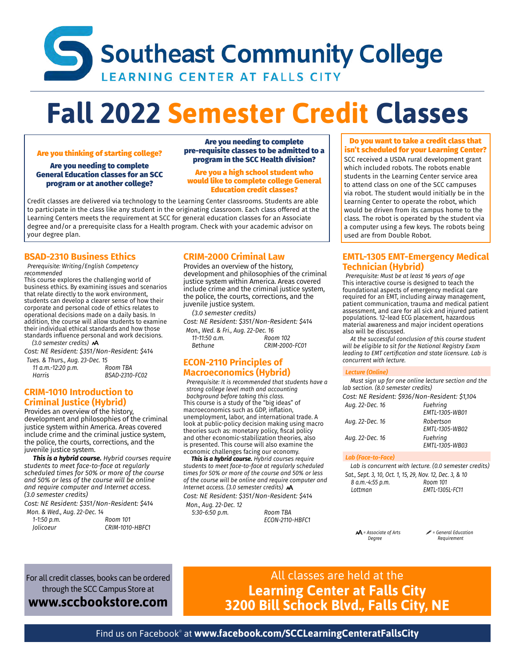## Southeast Community College **LEARNING CENTER AT FALLS CITY**

# **Fall 2022 Semester Credit Classes**

#### Are you thinking of starting college?

Are you needing to complete General Education classes for an SCC program or at another college?

Are you needing to complete pre-requisite classes to be admitted to a program in the SCC Health division?

Are you a high school student who would like to complete college General Education credit classes?

Credit classes are delivered via technology to the Learning Center classrooms. Students are able to participate in the class like any student in the originating classroom. Each class offered at the Learning Centers meets the requirement at SCC for general education classes for an Associate degree and/or a prerequisite class for a Health program. Check with your academic advisor on your degree plan.

#### **BSAD-2310 Business Ethics**

 *Prerequisite: Writing/English Competency recommended*

This course explores the challenging world of business ethics. By examining issues and scenarios that relate directly to the work environment, students can develop a clearer sense of how their corporate and personal code of ethics relates to operational decisions made on a daily basis. In addition, the course will allow students to examine their individual ethical standards and how those standards influence personal and work decisions.  *(3.0 semester credits)* 

*Cost: NE Resident: \$351/Non-Resident: \$414*

*Tues. & Thurs., Aug. 23-Dec. 15 11 a.m.-12:20 p.m. Room TBA Harris BSAD-2310-FC02*

#### **CRIM-1010 Introduction to Criminal Justice (Hybrid)**

Provides an overview of the history, development and philosophies of the criminal justice system within America. Areas covered include crime and the criminal justice system, the police, the courts, corrections, and the juvenile justice system.

 *This is a hybrid course. Hybrid courses require students to meet face-to-face at regularly scheduled times for 50% or more of the course and 50% or less of the course will be online and require computer and Internet access. (3.0 semester credits)*

*Cost: NE Resident: \$351/Non-Resident: \$414*

| Mon. & Wed., Aug. 22-Dec. 14 |                 |
|------------------------------|-----------------|
| 1-1:50 p.m.                  | Room 101        |
| <b>Iolicoeur</b>             | CRIM-1010-HBFC1 |

#### **CRIM-2000 Criminal Law**

Provides an overview of the history, development and philosophies of the criminal justice system within America. Areas covered include crime and the criminal justice system. the police, the courts, corrections, and the juvenile justice system.

 *(3.0 semester credits)*

*Cost: NE Resident: \$351/Non-Resident: \$414 Mon., Wed. & Fri., Aug. 22-Dec. 16 11-11:50 a.m.*<br>Bethune *Bethune CRIM-2000-FC01*

#### **ECON-2110 Principles of Macroeconomics (Hybrid)**

 *Prerequisite: It is recommended that students have a strong college level math and accounting background before taking this class.* This course is a study of the "big ideas" of macroeconomics such as GDP, inflation, unemployment, labor, and international trade. A look at public-policy decision making using macro theories such as: monetary policy, fiscal policy and other economic-stabilization theories, also is presented. This course will also examine the economic challenges facing our economy.

 *This is a hybrid course. Hybrid courses require students to meet face-to-face at regularly scheduled times for 50% or more of the course and 50% or less of the course will be online and require computer and Internet access. (3.0 semester credits) Cost: NE Resident: \$351/Non-Resident: \$414*

*Mon., Aug. 22-Dec. 12 5:30-6:50 p.m. Room TBA*

*ECON-2110-HBFC1*

#### Do you want to take a credit class that isn't scheduled for your Learning Center?

SCC received a USDA rural development grant which included robots. The robots enable students in the Learning Center service area to attend class on one of the SCC campuses via robot. The student would initially be in the Learning Center to operate the robot, which would be driven from its campus home to the class. The robot is operated by the student via a computer using a few keys. The robots being used are from Double Robot.

#### **EMTL-1305 EMT-Emergency Medical Technician (Hybrid)**

 *Prerequisite: Must be at least 16 years of age* This interactive course is designed to teach the foundational aspects of emergency medical care required for an EMT, including airway management, patient communication, trauma and medical patient assessment, and care for all sick and injured patient populations. 12-lead ECG placement, hazardous material awareness and major incident operations also will be discussed.

 *At the successful conclusion of this course student will be eligible to sit for the National Registry Exam leading to EMT certification and state licensure. Lab is concurrent with lecture.*

#### *Lecture (Online)*

 *Must sign up for one online lecture section and the lab section. (8.0 semester credits)*

*Cost: NE Resident: \$936/Non-Resident: \$1,104*

| Aug. 22-Dec. 16 | Fuehring<br>EMTL-1305-WB01  |
|-----------------|-----------------------------|
| Aug. 22-Dec. 16 | Robertson<br>EMTL-1305-WB02 |
| Aug. 22-Dec. 16 | Fuehring<br>EMTL-1305-WB03  |
|                 |                             |

#### *Lab (Face-to-Face)*

 *Lab is concurrent with lecture. (0.0 semester credits) Sat., Sept. 3, 10, Oct. 1, 15, 29, Nov. 12, Dec. 3, & 10 8 a.m.*-4:55 p.m. *Lottman EMTL-1305L-FC11*

*= Associate of Arts = General Education Degree Requirement*

For all credit classes, books can be ordered through the SCC Campus Store at

**[www.sccbookstore.com](http://www.sccbookstore.com)**

All classes are held at the **Learning Center at Falls City 3200 Bill Schock Blvd., Falls City, NE**

Find us on Facebook© at **[www.facebook.com/SCCLearningCenteratFallsCity](http://www.facebook.com/SCCLearningCenteratFallsCity)**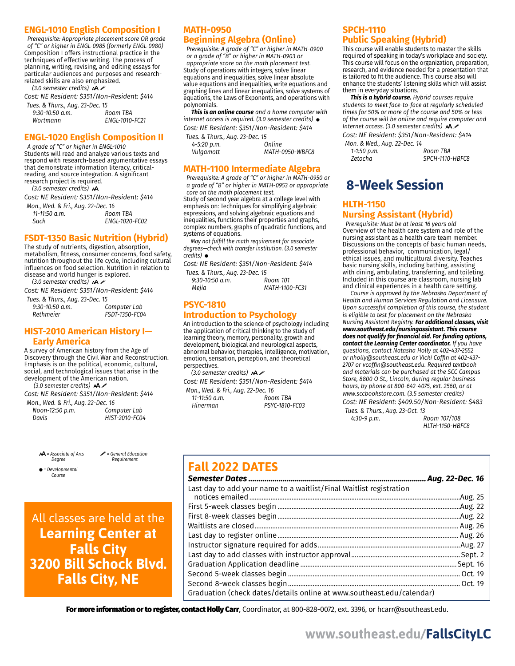#### **ENGL-1010 English Composition I**

 *Prerequisite: Appropriate placement score OR grade of "C" or higher in ENGL-0985 (formerly ENGL-0980)* Composition I offers instructional practice in the techniques of effective writing. The process of planning, writing, revising, and editing essays for particular audiences and purposes and researchrelated skills are also emphasized.

 *(3.0 semester credits)* 

*Cost: NE Resident: \$351/Non-Resident: \$414*

| Tues. & Thurs., Aug. 23-Dec. 15 |                |
|---------------------------------|----------------|
| $9:30-10:50$ a.m.               | Room TBA       |
| Wortmann                        | ENGL-1010-FC21 |

#### **ENGL-1020 English Composition II**

 *A grade of "C" or higher in ENGL-1010* Students will read and analyze various texts and respond with research-based argumentative essays that demonstrate information literacy, criticalreading, and source integration. A significant research project is required.

 *(3.0 semester credits)* 

*Cost: NE Resident: \$351/Non-Resident: \$414*

*Mon., Wed. & Fri., Aug. 22-Dec. 16 11-11:50 a.m. Sack ENGL-1020-FC02*

#### **FSDT-1350 Basic Nutrition (Hybrid)**

The study of nutrients, digestion, absorption, metabolism, fitness, consumer concerns, food safety, nutrition throughout the life cycle, including cultural influences on food selection. Nutrition in relation to disease and world hunger is explored.

 *(3.0 semester credits) Cost: NE Resident: \$351/Non-Resident: \$414*

| Tues. & Thurs., Aug. 23-Dec. 15 |                |
|---------------------------------|----------------|
| $9:30-10:50$ a.m.               | Computer Lab   |
| Rethmeier                       | FSDT-1350-FC04 |

#### **HIST-2010 American History I— Early America**

A survey of American history from the Age of Discovery through the Civil War and Reconstruction. Emphasis is on the political, economic, cultural, social, and technological issues that arise in the development of the American nation.

 *(3.0 semester credits)* 

*Cost: NE Resident: \$351/Non-Resident: \$414*

*Mon., Wed. & Fri., Aug. 22-Dec. 16 Noon-12:50 p.m. Davis HIST-2010-FC04*

*= Associate of Arts = General Education*

*Degree Requirement*

 *= Developmental Course*

All classes are held at the **Learning Center at Falls City 3200 Bill Schock Blvd. Falls City, NE**

#### **MATH-0950 Beginning Algebra (Online)**

 *Prerequisite: A grade of "C" or higher in MATH-0900 or a grade of "B" or higher in MATH-0903 or appropriate score on the math placement test.* Study of operations with integers, solve linear equations and inequalities, solve linear absolute value equations and inequalities, write equations and graphing lines and linear inequalities, solve systems of equations, the Laws of Exponents, and operations with polynomials.

 *This is an online course and a home computer with internet access is required. (3.0 semester credits) Cost: NE Resident: \$351/Non-Resident: \$414*

*Tues. & Thurs., Aug. 23-Dec. 15 4-5:20 p.m. Online Vulgamott MATH-0950-WBFC8*

#### **MATH-1100 Intermediate Algebra**

 *Prerequisite: A grade of "C" or higher in MATH-0950 or a grade of "B" or higher in MATH-0953 or appropriate core on the math placement test.*

Study of second year algebra at a college level with emphasis on: Techniques for simplifying algebraic expressions, and solving algebraic equations and inequalities, functions their properties and graphs, complex numbers, graphs of quadratic functions, and systems of equations.

 *May not fulfill the math requirement for associate degrees—check with transfer institution. (3.0 semester credits)* 

*Cost: NE Resident: \$351/Non-Resident: \$414 Tues. & Thurs., Aug. 23-Dec. 15*

| $ues. \alpha$ Thurs., Aug. 25-Dec. 15 |                |
|---------------------------------------|----------------|
| $9:30-10:50$ a.m.                     | Room 101       |
| Mejia                                 | MATH-1100-FC31 |

#### **PSYC-1810 Introduction to Psychology**

An introduction to the science of psychology including the application of critical thinking to the study of learning theory, memory, personality, growth and development, biological and neurological aspects, abnormal behavior, therapies, intelligence, motivation, emotion, sensation, perception, and theoretical perspectives.

 *(3.0 semester credits) Cost: NE Resident: \$351/Non-Resident: \$414 Mon., Wed. & Fri., Aug. 22-Dec. 16 11-11:50 a.m. Hinerman PSYC-1810-FC03*

#### **SPCH-1110 Public Speaking (Hybrid)**

This course will enable students to master the skills required of speaking in today's workplace and society. This course will focus on the organization, preparation, research, and evidence needed for a presentation that is tailored to fit the audience. This course also will enhance the students' listening skills which will assist them in everyday situations.

 *This is a hybrid course. Hybrid courses require students to meet face-to-face at regularly scheduled times for 50% or more of the course and 50% or less of the course will be online and require computer and Internet access. (3.0 semester credits)* 

*Cost: NE Resident: \$351/Non-Resident: \$414*

| Mon. & Wed., Aug. 22-Dec. 14 |
|------------------------------|
| Room TBA                     |
| SPCH-1110-HBFC8              |
|                              |

## **8-Week Session**

#### **HLTH-1150 Nursing Assistant (Hybrid)**

 *Prerequisite: Must be at least 16 years old* Overview of the health care system and role of the nursing assistant as a health care team member. Discussions on the concepts of basic human needs, professional behavior, communication, legal/ ethical issues, and multicultural diversity. Teaches basic nursing skills, including bathing, assisting with dining, ambulating, transferring, and toileting. Included in this course are classroom, nursing lab and clinical experiences in a health care setting.

 *Course is approved by the Nebraska Department of Health and Human Services Regulation and Licensure. Upon successful completion of this course, the student is eligible to test for placement on the Nebraska Nursing Assistant Registry. For additional classes, visit [www.southeast.edu/nursingassistant.](http://www.southeast.edu/nursingassistant) This course does not qualify for financial aid. For funding options, contact the Learning Center coordinator. If you have questions, contact Natasha Holly at 402-437-2552 or [nholly@southeast.edu](mailto:nholly@southeast.edu) or Vicki Coffin at 402-437- 2707 or [vcoffin@southeast.edu.](mailto:vcoffin@southeast.edu) Required textbook and materials can be purchased at the SCC Campus Store, 8800 O St., Lincoln, during regular business hours, by phone at 800-642-4075, ext. 2560, or at [www.sccbookstore.com.](http://www.sccbookstore.com) (3.5 semester credits) Cost: NE Resident: \$409.50/Non-Resident: \$483*

*Tues. & Thurs., Aug. 23-Oct. 13 4:30-9 p.m. Room 107/108*

*HLTH-1150-HBFC8*

### **Fall 2022 DATES**

|                                                                       | Aug. 22-Dec. 16 |
|-----------------------------------------------------------------------|-----------------|
| Last day to add your name to a waitlist/Final Waitlist registration   |                 |
|                                                                       |                 |
|                                                                       |                 |
|                                                                       |                 |
|                                                                       |                 |
|                                                                       |                 |
|                                                                       |                 |
|                                                                       |                 |
|                                                                       |                 |
|                                                                       |                 |
|                                                                       |                 |
| Graduation (check dates/details online at www.southeast.edu/calendar) |                 |

For more information or to register, contact Holly Carr, Coordinator, at 800-828-0072, ext. 3396, or [hcarr@southeast.edu](mailto:hcarr@southeast.edu).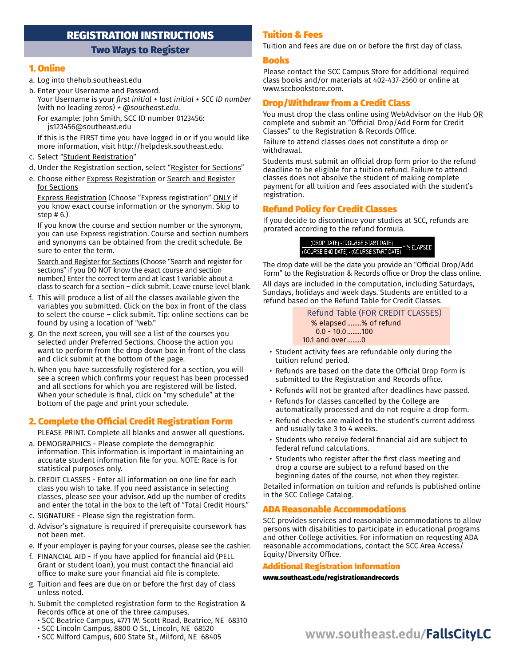#### REGISTRATION INSTRUCTIONS

#### Two Ways to Register

#### 1. Online

- a. Log into [thehub.southeast.edu](http://thehub.southeast.edu)
- b. Enter your Username and Password. Your Username is your *first initial + last initial + SCC ID number* (with no leading zeros) *+ [@southeast.edu](http://southeast.edu)*.
	- For example: John Smith, SCC ID number 0123456: [js123456@southeast.edu](mailto:js123456@southeast.edu)
	- If this is the FIRST time you have logged in or if you would like more information, visit <http://helpdesk.southeast.edu>.
- c. Select "Student Registration"
- d. Under the Registration section, select "Register for Sections"
- e. Choose either Express Registration or Search and Register for Sections

Express Registration (Choose "Express registration" ONLY if you know exact course information or the synonym. Skip to step # 6.)

If you know the course and section number or the synonym, you can use Express registration. Course and section numbers and synonyms can be obtained from the credit schedule. Be sure to enter the term.

Search and Register for Sections (Choose "Search and register for sections" if you DO NOT know the exact course and section number.) Enter the correct term and at least 1 variable about a class to search for a section – click submit. Leave course level blank.

- f. This will produce a list of all the classes available given the variables you submitted. Click on the box in front of the class to select the course – click submit. Tip: online sections can be found by using a location of "web."
- g. On the next screen, you will see a list of the courses you selected under Preferred Sections. Choose the action you want to perform from the drop down box in front of the class and click submit at the bottom of the page.
- h. When you have successfully registered for a section, you will see a screen which confirms your request has been processed and all sections for which you are registered will be listed. When your schedule is final, click on "my schedule" at the bottom of the page and print your schedule.

#### 2. Complete the Official Credit Registration Form

PLEASE PRINT. Complete all blanks and answer all questions.

- a. DEMOGRAPHICS Please complete the demographic information. This information is important in maintaining an accurate student information file for you. NOTE: Race is for statistical purposes only.
- b. CREDIT CLASSES Enter all information on one line for each class you wish to take. If you need assistance in selecting classes, please see your advisor. Add up the number of credits and enter the total in the box to the left of "Total Credit Hours."
- c. SIGNATURE Please sign the registration form.
- d. Advisor's signature is required if prerequisite coursework has not been met.
- e. If your employer is paying for your courses, please see the cashier.
- f. FINANCIAL AID If you have applied for financial aid (PELL Grant or student loan), you must contact the financial aid office to make sure your financial aid file is complete.
- g. Tuition and fees are due on or before the first day of class unless noted.
- h. Submit the completed registration form to the Registration & Records office at one of the three campuses.
	- SCC Beatrice Campus, 4771 W. Scott Road, Beatrice, NE 68310
	- SCC Lincoln Campus, 8800 O St., Lincoln, NE 68520
	-
	- SCC Milford Campus, 600 State St., Milford, NE 68405

#### Tuition & Fees

Tuition and fees are due on or before the first day of class.

#### Books

Please contact the SCC Campus Store for additional required class books and/or materials at 402-437-2560 or online at [www.sccbookstore.com](http://www.sccbookstore.com).

#### Drop/Withdraw from a Credit Class

You must drop the class online using WebAdvisor on the Hub OR complete and submit an "Official Drop/Add Form for Credit Classes" to the Registration & Records Office.

Failure to attend classes does not constitute a drop or withdrawal.

Students must submit an official drop form prior to the refund deadline to be eligible for a tuition refund. Failure to attend classes does not absolve the student of making complete payment for all tuition and fees associated with the student's registration.

#### Refund Policy for Credit Classes

If you decide to discontinue your studies at SCC, refunds are prorated according to the refund formula.

> (DROP DATE) - (COURSE START DATE) (DROP DATE) - (COURSE START DATE)<br>(COURSE END DATE) - (COURSE START DATE) = % ELAPSED

The drop date will be the date you provide an "Official Drop/Add Form" to the Registration & Records office or Drop the class online. All days are included in the computation, including Saturdays, Sundays, holidays and week days. Students are entitled to a refund based on the Refund Table for Credit Classes.

> Refund Table (FOR CREDIT CLASSES) % elapsed........% of refund 0.0 - 10.0........100 10.1 and over........0

- Student activity fees are refundable only during the tuition refund period.
- Refunds are based on the date the Official Drop Form is submitted to the Registration and Records office.
- Refunds will not be granted after deadlines have passed.
- Refunds for classes cancelled by the College are automatically processed and do not require a drop form.
- Refund checks are mailed to the student's current address and usually take 3 to 4 weeks.
- Students who receive federal financial aid are subject to federal refund calculations.
- Students who register after the first class meeting and drop a course are subject to a refund based on the beginning dates of the course, not when they register.

Detailed information on tuition and refunds is published online in the SCC College Catalog.

#### ADA Reasonable Accommodations

SCC provides services and reasonable accommodations to allow persons with disabilities to participate in educational programs and other College activities. For information on requesting ADA reasonable accommodations, contact the SCC Area Access/ Equity/Diversity Office.

#### Additional Registration Information

[www.southeast.edu/registrationandrecords](http://www.southeast.edu/registrationandrecords)